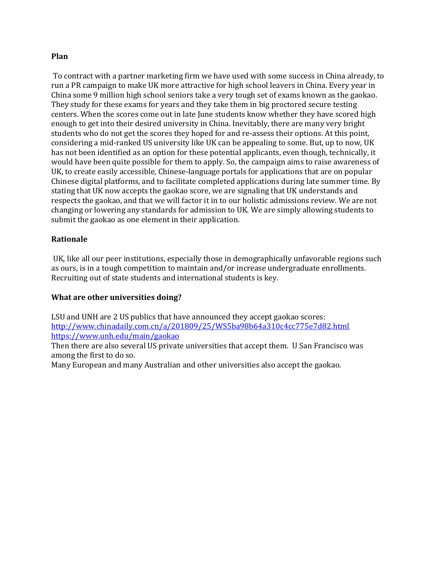## **Plan**

To contract with a partner marketing firm we have used with some success in China already, to run a PR campaign to make UK more attractive for high school leavers in China. Every year in China some 9 million high school seniors take a very tough set of exams known as the gaokao. They study for these exams for years and they take them in big proctored secure testing centers. When the scores come out in late June students know whether they have scored high enough to get into their desired university in China. Inevitably, there are many very bright students who do not get the scores they hoped for and re-assess their options. At this point, considering a mid-ranked US university like UK can be appealing to some. But, up to now, UK has not been identified as an option for these potential applicants, even though, technically, it would have been quite possible for them to apply. So, the campaign aims to raise awareness of UK, to create easily accessible, Chinese-language portals for applications that are on popular Chinese digital platforms, and to facilitate completed applications during late summer time. By stating that UK now accepts the gaokao score, we are signaling that UK understands and respects the gaokao, and that we will factor it in to our holistic admissions review. We are not changing or lowering any standards for admission to UK. We are simply allowing students to submit the gaokao as one element in their application.

## **Rationale**

UK, like all our peer institutions, especially those in demographically unfavorable regions such as ours, is in a tough competition to maintain and/or increase undergraduate enrollments. Recruiting out of state students and international students is key.

## **What are other universities doing?**

LSU and UNH are 2 US publics that have announced they accept gaokao scores: [http://www.chinadaily.com.cn/a/201809/25/WS5ba98b64a310c4cc775e7d82.html](https://nam04.safelinks.protection.outlook.com/?url=http%3A%2F%2Fwww.chinadaily.com.cn%2Fa%2F201809%2F25%2FWS5ba98b64a310c4cc775e7d82.html&data=02%7C01%7CSueRoberts%40uky.edu%7C306755d002064e7e3a6a08d6b47a4db9%7C2b30530b69b64457b818481cb53d42ae%7C0%7C0%7C636894834720434421&sdata=9jTbH1jy%2Bui%2FMU9WulB3IYzTCtNZlF3W0goJZibC9hA%3D&reserved=0) [https://www.unh.edu/main/gaokao](https://nam04.safelinks.protection.outlook.com/?url=https%3A%2F%2Fwww.unh.edu%2Fmain%2Fgaokao&data=02%7C01%7CSueRoberts%40uky.edu%7C306755d002064e7e3a6a08d6b47a4db9%7C2b30530b69b64457b818481cb53d42ae%7C0%7C0%7C636894834720444434&sdata=XBodCUTxwj93YiZWvIoTS69wYt0TPhkbZ3F7M8JxZGw%3D&reserved=0)

Then there are also several US private universities that accept them. U San Francisco was among the first to do so.

Many European and many Australian and other universities also accept the gaokao.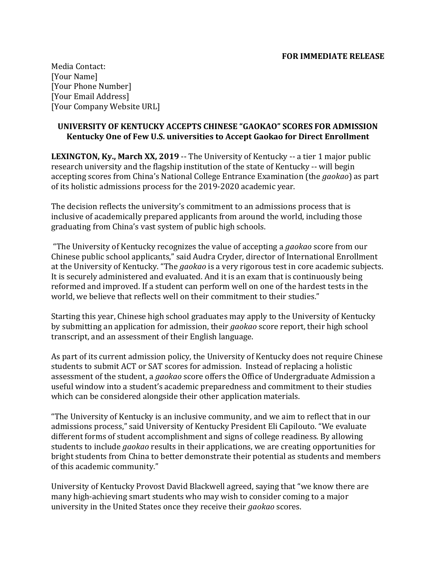Media Contact: [Your Name] [Your Phone Number] [Your Email Address] [Your Company Website URL]

## **UNIVERSITY OF KENTUCKY ACCEPTS CHINESE "GAOKAO" SCORES FOR ADMISSION Kentucky One of Few U.S. universities to Accept Gaokao for Direct Enrollment**

**LEXINGTON, Ky., March XX, 2019** -- The University of Kentucky -- a tier 1 major public research university and the flagship institution of the state of Kentucky -- will begin accepting scores from China's National College Entrance Examination (the *gaokao*) as part of its holistic admissions process for the 2019-2020 academic year.

The decision reflects the university's commitment to an admissions process that is inclusive of academically prepared applicants from around the world, including those graduating from China's vast system of public high schools.

"The University of Kentucky recognizes the value of accepting a *gaokao* score from our Chinese public school applicants," said Audra Cryder, director of International Enrollment at the University of Kentucky. "The *gaokao* is a very rigorous test in core academic subjects. It is securely administered and evaluated. And it is an exam that is continuously being reformed and improved. If a student can perform well on one of the hardest tests in the world, we believe that reflects well on their commitment to their studies."

Starting this year, Chinese high school graduates may apply to the University of Kentucky by submitting an application for admission, their *gaokao* score report, their high school transcript, and an assessment of their English language.

As part of its current admission policy, the University of Kentucky does not require Chinese students to submit ACT or SAT scores for admission. Instead of replacing a holistic assessment of the student, a *gaokao* score offers the Office of Undergraduate Admission a useful window into a student's academic preparedness and commitment to their studies which can be considered alongside their other application materials.

"The University of Kentucky is an inclusive community, and we aim to reflect that in our admissions process," said University of Kentucky President Eli Capilouto. "We evaluate different forms of student accomplishment and signs of college readiness. By allowing students to include *gaokao* results in their applications, we are creating opportunities for bright students from China to better demonstrate their potential as students and members of this academic community."

University of Kentucky Provost David Blackwell agreed, saying that "we know there are many high-achieving smart students who may wish to consider coming to a major university in the United States once they receive their *gaokao* scores.